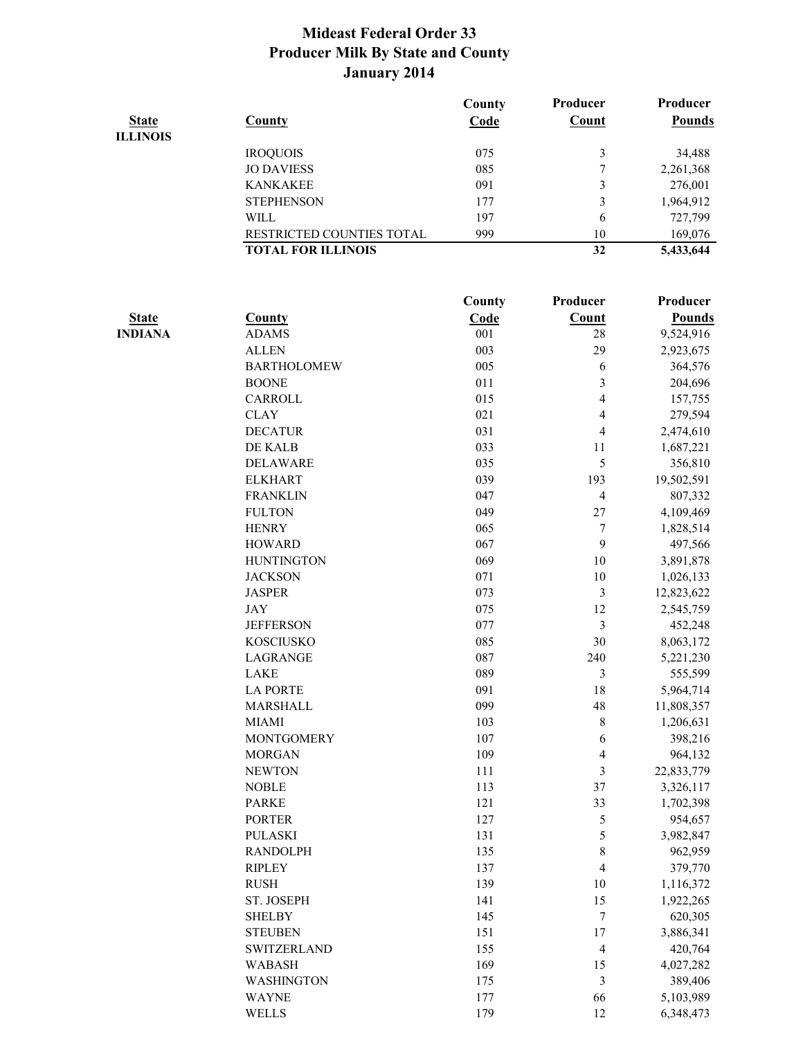|              |                           | County | Producer | Producer      |
|--------------|---------------------------|--------|----------|---------------|
| <b>State</b> | <b>County</b>             | Code   | Count    | <b>Pounds</b> |
| ILLINOIS     |                           |        |          |               |
|              | <b>IROQUOIS</b>           | 075    | 3        | 34,488        |
|              | <b>JO DAVIESS</b>         | 085    | 7        | 2,261,368     |
|              | <b>KANKAKEE</b>           | 091    | 3        | 276,001       |
|              | <b>STEPHENSON</b>         | 177    | 3        | 1,964,912     |
|              | WILL                      | 197    | 6        | 727,799       |
|              | RESTRICTED COUNTIES TOTAL | 999    | 10       | 169,076       |
|              | <b>TOTAL FOR ILLINOIS</b> |        | 32       | 5,433,644     |
|              |                           |        |          |               |
|              |                           |        |          |               |

| County<br>Code<br>Count<br><b>State</b><br><b>County</b><br><b>Pounds</b><br><b>INDIANA</b><br><b>ADAMS</b><br>001<br>28<br>9,524,916<br>003<br>29<br>2,923,675<br><b>ALLEN</b><br>005<br><b>BARTHOLOMEW</b><br>6<br>364,576<br>3<br>011<br>204,696<br><b>BOONE</b><br>015<br>4<br>CARROLL<br>157,755<br>021<br>279,594<br><b>CLAY</b><br>4<br>031<br>$\overline{4}$<br><b>DECATUR</b><br>2,474,610<br>033<br>DE KALB<br>11<br>1,687,221<br>5<br>035<br>356,810<br><b>DELAWARE</b><br>039<br>193<br>19,502,591<br><b>ELKHART</b><br><b>FRANKLIN</b><br>047<br>$\overline{4}$<br>807,332<br><b>FULTON</b><br>049<br>$27\,$<br>4,109,469<br><b>HENRY</b><br>7<br>065<br>1,828,514<br>9<br><b>HOWARD</b><br>067<br>497,566<br>$10\,$<br><b>HUNTINGTON</b><br>069<br>3,891,878<br>$10\,$<br><b>JACKSON</b><br>071<br>1,026,133<br><b>JASPER</b><br>073<br>3<br>12,823,622<br>075<br>12<br><b>JAY</b><br>2,545,759<br>3<br>077<br>452,248<br><b>JEFFERSON</b><br><b>KOSCIUSKO</b><br>085<br>30<br>8,063,172<br>087<br>240<br><b>LAGRANGE</b><br>5,221,230<br><b>LAKE</b><br>089<br>3<br>555,599<br><b>LA PORTE</b><br>091<br>18<br>5,964,714<br>MARSHALL<br>099<br>48<br>11,808,357<br>$\,$ 8 $\,$<br>1,206,631<br><b>MIAMI</b><br>103<br>$\sqrt{6}$<br>398,216<br><b>MONTGOMERY</b><br>107<br>$\overline{4}$<br>964,132<br><b>MORGAN</b><br>109<br>3<br><b>NEWTON</b><br>111<br>22,833,779<br>37<br><b>NOBLE</b><br>113<br>3,326,117<br><b>PARKE</b><br>33<br>121<br>1,702,398<br><b>PORTER</b><br>5<br>127<br>954,657<br>$\mathfrak s$<br><b>PULASKI</b><br>131<br>3,982,847<br>$\,$ $\,$<br><b>RANDOLPH</b><br>135<br>962,959 | Producer |
|-----------------------------------------------------------------------------------------------------------------------------------------------------------------------------------------------------------------------------------------------------------------------------------------------------------------------------------------------------------------------------------------------------------------------------------------------------------------------------------------------------------------------------------------------------------------------------------------------------------------------------------------------------------------------------------------------------------------------------------------------------------------------------------------------------------------------------------------------------------------------------------------------------------------------------------------------------------------------------------------------------------------------------------------------------------------------------------------------------------------------------------------------------------------------------------------------------------------------------------------------------------------------------------------------------------------------------------------------------------------------------------------------------------------------------------------------------------------------------------------------------------------------------------------------------------------------------------------------------------------------------|----------|
|                                                                                                                                                                                                                                                                                                                                                                                                                                                                                                                                                                                                                                                                                                                                                                                                                                                                                                                                                                                                                                                                                                                                                                                                                                                                                                                                                                                                                                                                                                                                                                                                                             |          |
|                                                                                                                                                                                                                                                                                                                                                                                                                                                                                                                                                                                                                                                                                                                                                                                                                                                                                                                                                                                                                                                                                                                                                                                                                                                                                                                                                                                                                                                                                                                                                                                                                             |          |
|                                                                                                                                                                                                                                                                                                                                                                                                                                                                                                                                                                                                                                                                                                                                                                                                                                                                                                                                                                                                                                                                                                                                                                                                                                                                                                                                                                                                                                                                                                                                                                                                                             |          |
|                                                                                                                                                                                                                                                                                                                                                                                                                                                                                                                                                                                                                                                                                                                                                                                                                                                                                                                                                                                                                                                                                                                                                                                                                                                                                                                                                                                                                                                                                                                                                                                                                             |          |
|                                                                                                                                                                                                                                                                                                                                                                                                                                                                                                                                                                                                                                                                                                                                                                                                                                                                                                                                                                                                                                                                                                                                                                                                                                                                                                                                                                                                                                                                                                                                                                                                                             |          |
|                                                                                                                                                                                                                                                                                                                                                                                                                                                                                                                                                                                                                                                                                                                                                                                                                                                                                                                                                                                                                                                                                                                                                                                                                                                                                                                                                                                                                                                                                                                                                                                                                             |          |
|                                                                                                                                                                                                                                                                                                                                                                                                                                                                                                                                                                                                                                                                                                                                                                                                                                                                                                                                                                                                                                                                                                                                                                                                                                                                                                                                                                                                                                                                                                                                                                                                                             |          |
|                                                                                                                                                                                                                                                                                                                                                                                                                                                                                                                                                                                                                                                                                                                                                                                                                                                                                                                                                                                                                                                                                                                                                                                                                                                                                                                                                                                                                                                                                                                                                                                                                             |          |
|                                                                                                                                                                                                                                                                                                                                                                                                                                                                                                                                                                                                                                                                                                                                                                                                                                                                                                                                                                                                                                                                                                                                                                                                                                                                                                                                                                                                                                                                                                                                                                                                                             |          |
|                                                                                                                                                                                                                                                                                                                                                                                                                                                                                                                                                                                                                                                                                                                                                                                                                                                                                                                                                                                                                                                                                                                                                                                                                                                                                                                                                                                                                                                                                                                                                                                                                             |          |
|                                                                                                                                                                                                                                                                                                                                                                                                                                                                                                                                                                                                                                                                                                                                                                                                                                                                                                                                                                                                                                                                                                                                                                                                                                                                                                                                                                                                                                                                                                                                                                                                                             |          |
|                                                                                                                                                                                                                                                                                                                                                                                                                                                                                                                                                                                                                                                                                                                                                                                                                                                                                                                                                                                                                                                                                                                                                                                                                                                                                                                                                                                                                                                                                                                                                                                                                             |          |
|                                                                                                                                                                                                                                                                                                                                                                                                                                                                                                                                                                                                                                                                                                                                                                                                                                                                                                                                                                                                                                                                                                                                                                                                                                                                                                                                                                                                                                                                                                                                                                                                                             |          |
|                                                                                                                                                                                                                                                                                                                                                                                                                                                                                                                                                                                                                                                                                                                                                                                                                                                                                                                                                                                                                                                                                                                                                                                                                                                                                                                                                                                                                                                                                                                                                                                                                             |          |
|                                                                                                                                                                                                                                                                                                                                                                                                                                                                                                                                                                                                                                                                                                                                                                                                                                                                                                                                                                                                                                                                                                                                                                                                                                                                                                                                                                                                                                                                                                                                                                                                                             |          |
|                                                                                                                                                                                                                                                                                                                                                                                                                                                                                                                                                                                                                                                                                                                                                                                                                                                                                                                                                                                                                                                                                                                                                                                                                                                                                                                                                                                                                                                                                                                                                                                                                             |          |
|                                                                                                                                                                                                                                                                                                                                                                                                                                                                                                                                                                                                                                                                                                                                                                                                                                                                                                                                                                                                                                                                                                                                                                                                                                                                                                                                                                                                                                                                                                                                                                                                                             |          |
|                                                                                                                                                                                                                                                                                                                                                                                                                                                                                                                                                                                                                                                                                                                                                                                                                                                                                                                                                                                                                                                                                                                                                                                                                                                                                                                                                                                                                                                                                                                                                                                                                             |          |
|                                                                                                                                                                                                                                                                                                                                                                                                                                                                                                                                                                                                                                                                                                                                                                                                                                                                                                                                                                                                                                                                                                                                                                                                                                                                                                                                                                                                                                                                                                                                                                                                                             |          |
|                                                                                                                                                                                                                                                                                                                                                                                                                                                                                                                                                                                                                                                                                                                                                                                                                                                                                                                                                                                                                                                                                                                                                                                                                                                                                                                                                                                                                                                                                                                                                                                                                             |          |
|                                                                                                                                                                                                                                                                                                                                                                                                                                                                                                                                                                                                                                                                                                                                                                                                                                                                                                                                                                                                                                                                                                                                                                                                                                                                                                                                                                                                                                                                                                                                                                                                                             |          |
|                                                                                                                                                                                                                                                                                                                                                                                                                                                                                                                                                                                                                                                                                                                                                                                                                                                                                                                                                                                                                                                                                                                                                                                                                                                                                                                                                                                                                                                                                                                                                                                                                             |          |
|                                                                                                                                                                                                                                                                                                                                                                                                                                                                                                                                                                                                                                                                                                                                                                                                                                                                                                                                                                                                                                                                                                                                                                                                                                                                                                                                                                                                                                                                                                                                                                                                                             |          |
|                                                                                                                                                                                                                                                                                                                                                                                                                                                                                                                                                                                                                                                                                                                                                                                                                                                                                                                                                                                                                                                                                                                                                                                                                                                                                                                                                                                                                                                                                                                                                                                                                             |          |
|                                                                                                                                                                                                                                                                                                                                                                                                                                                                                                                                                                                                                                                                                                                                                                                                                                                                                                                                                                                                                                                                                                                                                                                                                                                                                                                                                                                                                                                                                                                                                                                                                             |          |
|                                                                                                                                                                                                                                                                                                                                                                                                                                                                                                                                                                                                                                                                                                                                                                                                                                                                                                                                                                                                                                                                                                                                                                                                                                                                                                                                                                                                                                                                                                                                                                                                                             |          |
|                                                                                                                                                                                                                                                                                                                                                                                                                                                                                                                                                                                                                                                                                                                                                                                                                                                                                                                                                                                                                                                                                                                                                                                                                                                                                                                                                                                                                                                                                                                                                                                                                             |          |
|                                                                                                                                                                                                                                                                                                                                                                                                                                                                                                                                                                                                                                                                                                                                                                                                                                                                                                                                                                                                                                                                                                                                                                                                                                                                                                                                                                                                                                                                                                                                                                                                                             |          |
|                                                                                                                                                                                                                                                                                                                                                                                                                                                                                                                                                                                                                                                                                                                                                                                                                                                                                                                                                                                                                                                                                                                                                                                                                                                                                                                                                                                                                                                                                                                                                                                                                             |          |
|                                                                                                                                                                                                                                                                                                                                                                                                                                                                                                                                                                                                                                                                                                                                                                                                                                                                                                                                                                                                                                                                                                                                                                                                                                                                                                                                                                                                                                                                                                                                                                                                                             |          |
|                                                                                                                                                                                                                                                                                                                                                                                                                                                                                                                                                                                                                                                                                                                                                                                                                                                                                                                                                                                                                                                                                                                                                                                                                                                                                                                                                                                                                                                                                                                                                                                                                             |          |
|                                                                                                                                                                                                                                                                                                                                                                                                                                                                                                                                                                                                                                                                                                                                                                                                                                                                                                                                                                                                                                                                                                                                                                                                                                                                                                                                                                                                                                                                                                                                                                                                                             |          |
|                                                                                                                                                                                                                                                                                                                                                                                                                                                                                                                                                                                                                                                                                                                                                                                                                                                                                                                                                                                                                                                                                                                                                                                                                                                                                                                                                                                                                                                                                                                                                                                                                             |          |
|                                                                                                                                                                                                                                                                                                                                                                                                                                                                                                                                                                                                                                                                                                                                                                                                                                                                                                                                                                                                                                                                                                                                                                                                                                                                                                                                                                                                                                                                                                                                                                                                                             |          |
| 4<br><b>RIPLEY</b><br>137<br>379,770                                                                                                                                                                                                                                                                                                                                                                                                                                                                                                                                                                                                                                                                                                                                                                                                                                                                                                                                                                                                                                                                                                                                                                                                                                                                                                                                                                                                                                                                                                                                                                                        |          |
| <b>RUSH</b><br>139<br>10<br>1,116,372                                                                                                                                                                                                                                                                                                                                                                                                                                                                                                                                                                                                                                                                                                                                                                                                                                                                                                                                                                                                                                                                                                                                                                                                                                                                                                                                                                                                                                                                                                                                                                                       |          |
| ST. JOSEPH<br>141<br>15<br>1,922,265                                                                                                                                                                                                                                                                                                                                                                                                                                                                                                                                                                                                                                                                                                                                                                                                                                                                                                                                                                                                                                                                                                                                                                                                                                                                                                                                                                                                                                                                                                                                                                                        |          |
| $\boldsymbol{7}$<br>620,305<br>145<br><b>SHELBY</b>                                                                                                                                                                                                                                                                                                                                                                                                                                                                                                                                                                                                                                                                                                                                                                                                                                                                                                                                                                                                                                                                                                                                                                                                                                                                                                                                                                                                                                                                                                                                                                         |          |
| 3,886,341<br><b>STEUBEN</b><br>151<br>17                                                                                                                                                                                                                                                                                                                                                                                                                                                                                                                                                                                                                                                                                                                                                                                                                                                                                                                                                                                                                                                                                                                                                                                                                                                                                                                                                                                                                                                                                                                                                                                    |          |
| 420,764<br><b>SWITZERLAND</b><br>155<br>$\overline{4}$                                                                                                                                                                                                                                                                                                                                                                                                                                                                                                                                                                                                                                                                                                                                                                                                                                                                                                                                                                                                                                                                                                                                                                                                                                                                                                                                                                                                                                                                                                                                                                      |          |
| 4,027,282<br><b>WABASH</b><br>169<br>15                                                                                                                                                                                                                                                                                                                                                                                                                                                                                                                                                                                                                                                                                                                                                                                                                                                                                                                                                                                                                                                                                                                                                                                                                                                                                                                                                                                                                                                                                                                                                                                     |          |
| 3<br>389,406<br>WASHINGTON<br>175                                                                                                                                                                                                                                                                                                                                                                                                                                                                                                                                                                                                                                                                                                                                                                                                                                                                                                                                                                                                                                                                                                                                                                                                                                                                                                                                                                                                                                                                                                                                                                                           |          |
| 5,103,989<br><b>WAYNE</b><br>177<br>66                                                                                                                                                                                                                                                                                                                                                                                                                                                                                                                                                                                                                                                                                                                                                                                                                                                                                                                                                                                                                                                                                                                                                                                                                                                                                                                                                                                                                                                                                                                                                                                      |          |
| <b>WELLS</b><br>179<br>12<br>6,348,473                                                                                                                                                                                                                                                                                                                                                                                                                                                                                                                                                                                                                                                                                                                                                                                                                                                                                                                                                                                                                                                                                                                                                                                                                                                                                                                                                                                                                                                                                                                                                                                      |          |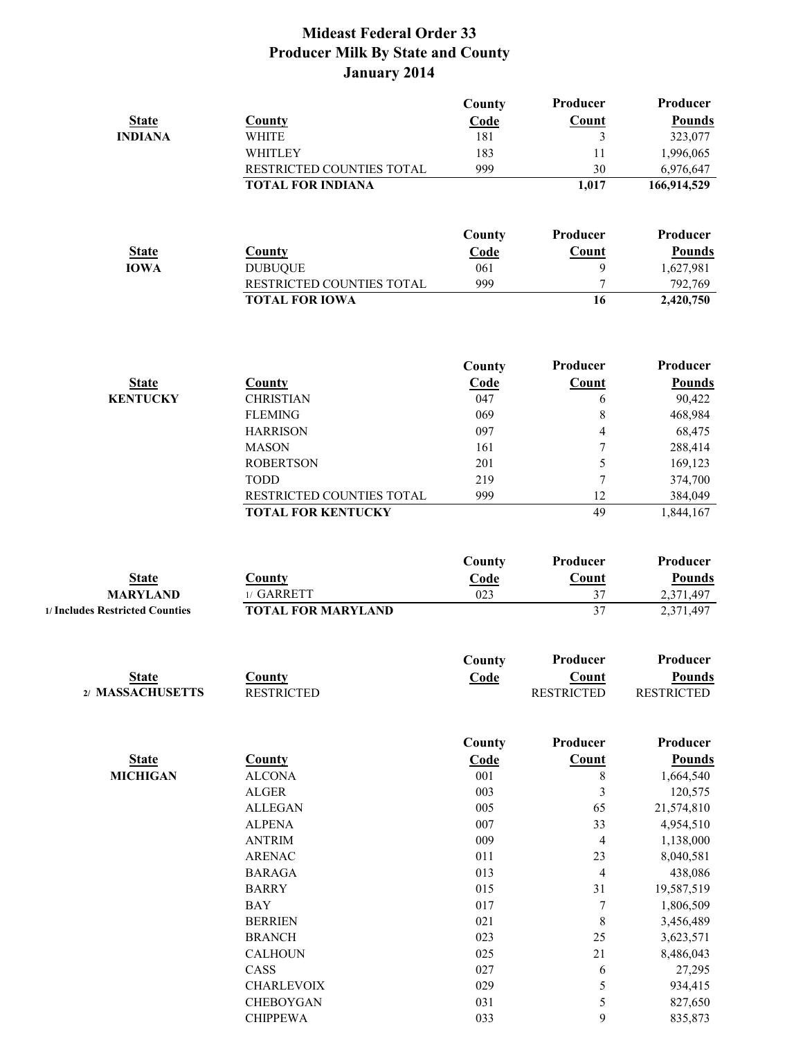|                                 |                                    | County      | Producer          | Producer            |
|---------------------------------|------------------------------------|-------------|-------------------|---------------------|
| <b>State</b>                    | County                             | Code        | Count             | Pounds              |
| <b>INDIANA</b>                  | <b>WHITE</b>                       | 181         | 3                 | 323,077             |
|                                 | WHITLEY                            | 183         | 11                | 1,996,065           |
|                                 | RESTRICTED COUNTIES TOTAL          | 999         | 30                | 6,976,647           |
|                                 | <b>TOTAL FOR INDIANA</b>           |             | 1,017             | 166,914,529         |
|                                 |                                    | County      | Producer          | Producer            |
| <b>State</b>                    | County                             | Code        | Count             | <b>Pounds</b>       |
| <b>IOWA</b>                     | <b>DUBUQUE</b>                     | 061         | 9                 | 1,627,981           |
|                                 | RESTRICTED COUNTIES TOTAL          | 999         | 7                 | 792,769             |
|                                 | <b>TOTAL FOR IOWA</b>              |             | 16                | 2,420,750           |
|                                 |                                    |             |                   | Producer            |
|                                 |                                    | County      | Producer          |                     |
| <b>State</b><br><b>KENTUCKY</b> | <b>County</b>                      | Code<br>047 | Count             | <b>Pounds</b>       |
|                                 | <b>CHRISTIAN</b><br><b>FLEMING</b> | 069         | 6<br>8            | 90,422<br>468,984   |
|                                 | <b>HARRISON</b>                    | 097         | 4                 | 68,475              |
|                                 | <b>MASON</b>                       | 161         | $\boldsymbol{7}$  | 288,414             |
|                                 | <b>ROBERTSON</b>                   | 201         | 5                 | 169,123             |
|                                 | <b>TODD</b>                        | 219         | 7                 | 374,700             |
|                                 | RESTRICTED COUNTIES TOTAL          | 999         | 12                | 384,049             |
|                                 | <b>TOTAL FOR KENTUCKY</b>          |             | 49                | 1,844,167           |
|                                 |                                    | County      | Producer          | Producer            |
| <b>State</b>                    | County                             | Code        | Count             | <b>Pounds</b>       |
| <b>MARYLAND</b>                 | 1/ GARRETT                         | 023         | 37                | 2,371,497           |
| 1/ Includes Restricted Counties | <b>TOTAL FOR MARYLAND</b>          |             | 37                | 2,371,497           |
|                                 |                                    | County      | Producer          | Producer            |
| <b>State</b>                    | County                             | Code        | Count             | <b>Pounds</b>       |
| 2/ MASSACHUSETTS                | <b>RESTRICTED</b>                  |             | <b>RESTRICTED</b> | <b>RESTRICTED</b>   |
|                                 |                                    | County      | Producer          | Producer            |
| <b>State</b>                    | <b>County</b>                      | Code        | Count             | <b>Pounds</b>       |
| <b>MICHIGAN</b>                 | <b>ALCONA</b>                      | 001         | 8                 | 1,664,540           |
|                                 | <b>ALGER</b>                       | 003         | 3                 | 120,575             |
|                                 | <b>ALLEGAN</b>                     | 005         | 65                | 21,574,810          |
|                                 | <b>ALPENA</b>                      | 007         | 33                | 4,954,510           |
|                                 | <b>ANTRIM</b>                      | 009         | 4                 | 1,138,000           |
|                                 | <b>ARENAC</b>                      | 011         | 23                | 8,040,581           |
|                                 | <b>BARAGA</b>                      | 013         | 4                 | 438,086             |
|                                 | <b>BARRY</b>                       | 015         | 31                | 19,587,519          |
|                                 | <b>BAY</b>                         | 017         | $\boldsymbol{7}$  | 1,806,509           |
|                                 | <b>BERRIEN</b>                     | 021         | $\,$ $\,$         | 3,456,489           |
|                                 | <b>BRANCH</b>                      | 023         | 25                | 3,623,571           |
|                                 | <b>CALHOUN</b><br>CASS             | 025<br>027  | 21                | 8,486,043<br>27,295 |
|                                 | <b>CHARLEVOIX</b>                  | 029         | 6<br>5            | 934,415             |
|                                 | CHEBOYGAN                          | 031         | 5                 | 827,650             |
|                                 | <b>CHIPPEWA</b>                    | 033         | 9                 | 835,873             |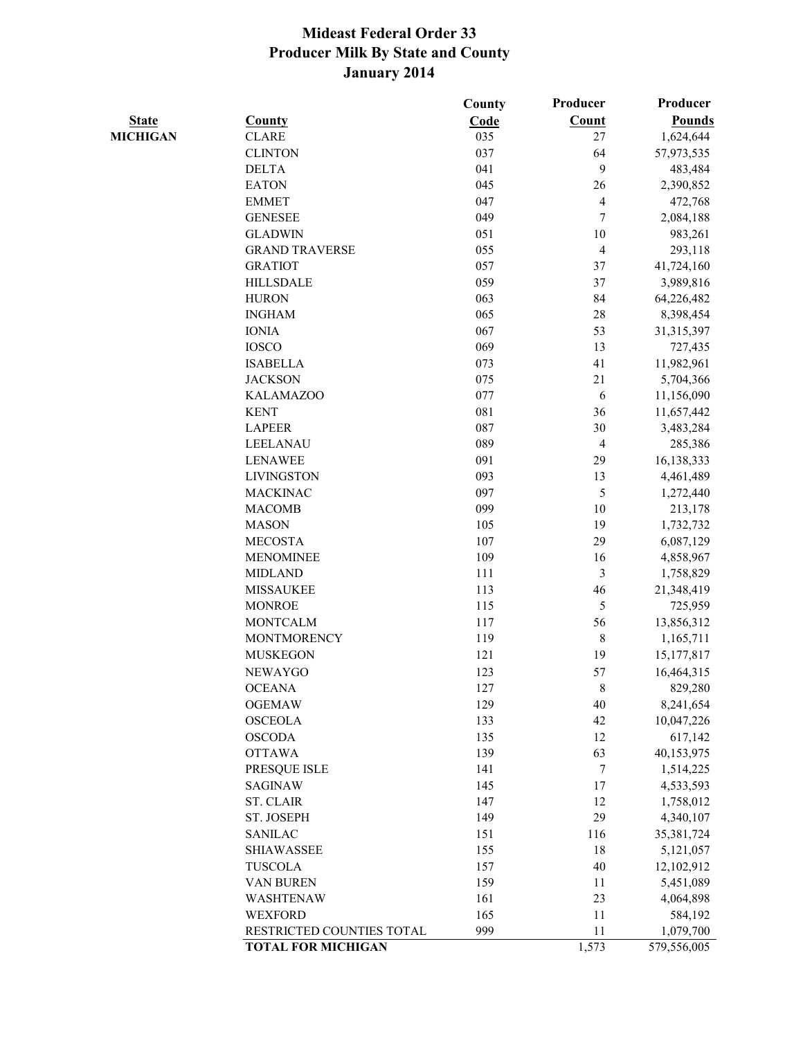|                 |                           | County | Producer                | Producer      |
|-----------------|---------------------------|--------|-------------------------|---------------|
| <b>State</b>    | County                    | Code   | Count                   | <b>Pounds</b> |
| <b>MICHIGAN</b> | <b>CLARE</b>              | 035    | 27                      | 1,624,644     |
|                 | <b>CLINTON</b>            | 037    | 64                      | 57,973,535    |
|                 | <b>DELTA</b>              | 041    | 9                       | 483,484       |
|                 | <b>EATON</b>              | 045    | 26                      | 2,390,852     |
|                 | <b>EMMET</b>              | 047    | $\overline{\mathbf{4}}$ | 472,768       |
|                 | <b>GENESEE</b>            | 049    | 7                       | 2,084,188     |
|                 | <b>GLADWIN</b>            | 051    | 10                      | 983,261       |
|                 | <b>GRAND TRAVERSE</b>     | 055    | $\overline{4}$          | 293,118       |
|                 | <b>GRATIOT</b>            | 057    | 37                      | 41,724,160    |
|                 | <b>HILLSDALE</b>          | 059    | 37                      | 3,989,816     |
|                 | <b>HURON</b>              | 063    | 84                      | 64,226,482    |
|                 | <b>INGHAM</b>             | 065    | 28                      | 8,398,454     |
|                 | <b>IONIA</b>              | 067    | 53                      | 31,315,397    |
|                 | <b>IOSCO</b>              | 069    | 13                      | 727,435       |
|                 | <b>ISABELLA</b>           | 073    | 41                      | 11,982,961    |
|                 | <b>JACKSON</b>            | 075    | 21                      | 5,704,366     |
|                 | <b>KALAMAZOO</b>          | 077    | 6                       | 11,156,090    |
|                 | <b>KENT</b>               | 081    | 36                      | 11,657,442    |
|                 | <b>LAPEER</b>             | 087    | 30                      | 3,483,284     |
|                 | LEELANAU                  | 089    | $\overline{4}$          | 285,386       |
|                 | <b>LENAWEE</b>            | 091    | 29                      | 16,138,333    |
|                 | <b>LIVINGSTON</b>         | 093    | 13                      | 4,461,489     |
|                 | <b>MACKINAC</b>           | 097    | 5                       | 1,272,440     |
|                 | <b>MACOMB</b>             | 099    | 10                      | 213,178       |
|                 | <b>MASON</b>              | 105    | 19                      | 1,732,732     |
|                 | <b>MECOSTA</b>            | 107    | 29                      | 6,087,129     |
|                 | <b>MENOMINEE</b>          | 109    | 16                      | 4,858,967     |
|                 | <b>MIDLAND</b>            | 111    | $\mathfrak{Z}$          | 1,758,829     |
|                 | <b>MISSAUKEE</b>          | 113    | 46                      | 21,348,419    |
|                 | <b>MONROE</b>             | 115    | 5                       | 725,959       |
|                 | <b>MONTCALM</b>           | 117    | 56                      | 13,856,312    |
|                 | <b>MONTMORENCY</b>        | 119    | $\,8\,$                 | 1,165,711     |
|                 | <b>MUSKEGON</b>           | 121    | 19                      | 15,177,817    |
|                 | <b>NEWAYGO</b>            | 123    | 57                      | 16,464,315    |
|                 | <b>OCEANA</b>             | 127    | $\,$ $\,$               | 829,280       |
|                 | <b>OGEMAW</b>             | 129    | 40                      | 8,241,654     |
|                 | <b>OSCEOLA</b>            | 133    | 42                      | 10,047,226    |
|                 | <b>OSCODA</b>             | 135    | 12                      | 617,142       |
|                 | <b>OTTAWA</b>             | 139    | 63                      | 40,153,975    |
|                 | PRESQUE ISLE              | 141    | $\tau$                  | 1,514,225     |
|                 | SAGINAW                   | 145    | 17                      | 4,533,593     |
|                 | <b>ST. CLAIR</b>          | 147    | 12                      | 1,758,012     |
|                 | ST. JOSEPH                | 149    | 29                      | 4,340,107     |
|                 | <b>SANILAC</b>            | 151    | 116                     | 35,381,724    |
|                 | <b>SHIAWASSEE</b>         | 155    | 18                      | 5,121,057     |
|                 | <b>TUSCOLA</b>            | 157    | 40                      | 12,102,912    |
|                 | VAN BUREN                 | 159    | 11                      | 5,451,089     |
|                 | WASHTENAW                 | 161    | 23                      | 4,064,898     |
|                 | <b>WEXFORD</b>            | 165    | 11                      | 584,192       |
|                 | RESTRICTED COUNTIES TOTAL | 999    | 11                      | 1,079,700     |
|                 | <b>TOTAL FOR MICHIGAN</b> |        | 1,573                   | 579,556,005   |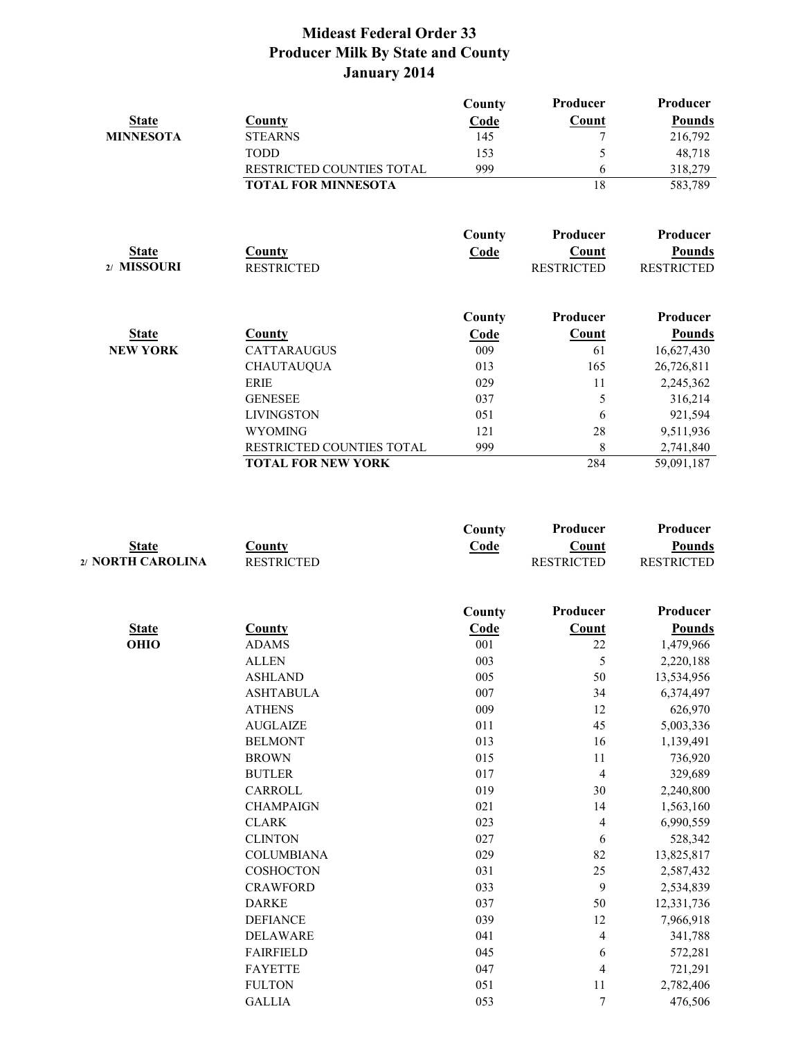|                  |                            | County      | Producer          | Producer          |
|------------------|----------------------------|-------------|-------------------|-------------------|
| <b>State</b>     | <b>County</b>              | <b>Code</b> | <b>Count</b>      | <b>Pounds</b>     |
| <b>MINNESOTA</b> | <b>STEARNS</b>             | 145         |                   | 216,792           |
|                  | <b>TODD</b>                | 153         | 5                 | 48,718            |
|                  | RESTRICTED COUNTIES TOTAL  | 999         | 6                 | 318,279           |
|                  | <b>TOTAL FOR MINNESOTA</b> |             | 18                | 583,789           |
|                  |                            | County      | Producer          | Producer          |
| <b>State</b>     | <b>County</b>              | <b>Code</b> | Count             | <b>Pounds</b>     |
| 2/ MISSOURI      | <b>RESTRICTED</b>          |             | <b>RESTRICTED</b> | <b>RESTRICTED</b> |
|                  |                            | County      | Producer          | Producer          |
| <b>State</b>     | County                     | <b>Code</b> | <b>Count</b>      | <b>Pounds</b>     |
| <b>NEW YORK</b>  | <b>CATTARAUGUS</b>         | 009         | 61                | 16,627,430        |
|                  | <b>CHAUTAUQUA</b>          | 013         | 165               | 26,726,811        |
|                  | ERIE                       | 029         | 11                | 2,245,362         |
|                  | <b>GENESEE</b>             | 037         | 5                 | 316,214           |
|                  | <b>LIVINGSTON</b>          | 051         | 6                 | 921,594           |
|                  | <b>WYOMING</b>             | 121         | 28                | 9,511,936         |
|                  | RESTRICTED COUNTIES TOTAL  | 999         | 8                 | 2,741,840         |
|                  | <b>TOTAL FOR NEW YORK</b>  |             | 284               | 59,091,187        |

|                   |                   | County | Producer          | Producer          |
|-------------------|-------------------|--------|-------------------|-------------------|
| <b>State</b>      | <b>County</b>     | Code   | <b>Count</b>      | <b>Pounds</b>     |
| 2/ NORTH CAROLINA | <b>RESTRICTED</b> |        | <b>RESTRICTED</b> | <b>RESTRICTED</b> |
|                   |                   | County | Producer          | Producer          |
| <b>State</b>      | County            | Code   | Count             | <b>Pounds</b>     |
| <b>OHIO</b>       | <b>ADAMS</b>      | 001    | 22                | 1,479,966         |
|                   | <b>ALLEN</b>      | 003    | 5                 | 2,220,188         |
|                   | <b>ASHLAND</b>    | 005    | 50                | 13,534,956        |
|                   | <b>ASHTABULA</b>  | 007    | 34                | 6,374,497         |
|                   | <b>ATHENS</b>     | 009    | 12                | 626,970           |
|                   | <b>AUGLAIZE</b>   | 011    | 45                | 5,003,336         |
|                   | <b>BELMONT</b>    | 013    | 16                | 1,139,491         |
|                   | <b>BROWN</b>      | 015    | 11                | 736,920           |
|                   | <b>BUTLER</b>     | 017    | $\overline{4}$    | 329,689           |
|                   | CARROLL           | 019    | 30                | 2,240,800         |
|                   | <b>CHAMPAIGN</b>  | 021    | 14                | 1,563,160         |
|                   | <b>CLARK</b>      | 023    | 4                 | 6,990,559         |
|                   | <b>CLINTON</b>    | 027    | 6                 | 528,342           |
|                   | <b>COLUMBIANA</b> | 029    | 82                | 13,825,817        |
|                   | COSHOCTON         | 031    | 25                | 2,587,432         |
|                   | <b>CRAWFORD</b>   | 033    | 9                 | 2,534,839         |
|                   | <b>DARKE</b>      | 037    | 50                | 12,331,736        |
|                   | <b>DEFIANCE</b>   | 039    | 12                | 7,966,918         |
|                   | <b>DELAWARE</b>   | 041    | $\overline{4}$    | 341,788           |
|                   | <b>FAIRFIELD</b>  | 045    | 6                 | 572,281           |
|                   | <b>FAYETTE</b>    | 047    | $\overline{4}$    | 721,291           |
|                   | <b>FULTON</b>     | 051    | 11                | 2,782,406         |
|                   | <b>GALLIA</b>     | 053    | 7                 | 476,506           |
|                   |                   |        |                   |                   |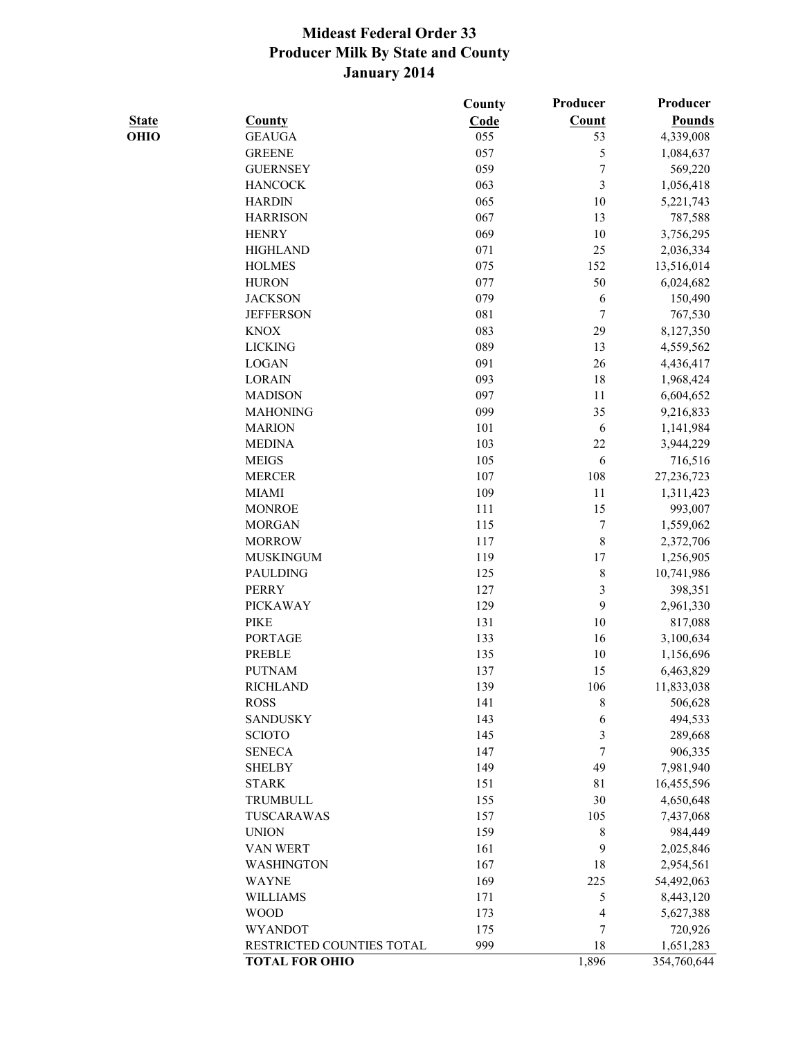|              |                           | County | Producer         | Producer      |
|--------------|---------------------------|--------|------------------|---------------|
| <b>State</b> | <b>County</b>             | Code   | <b>Count</b>     | <b>Pounds</b> |
| OHIO         | <b>GEAUGA</b>             | 055    | 53               | 4,339,008     |
|              | <b>GREENE</b>             | 057    | 5                | 1,084,637     |
|              | <b>GUERNSEY</b>           | 059    | $\boldsymbol{7}$ | 569,220       |
|              | <b>HANCOCK</b>            | 063    | 3                | 1,056,418     |
|              | <b>HARDIN</b>             | 065    | 10               | 5,221,743     |
|              | <b>HARRISON</b>           | 067    | 13               | 787,588       |
|              | <b>HENRY</b>              | 069    | 10               | 3,756,295     |
|              | <b>HIGHLAND</b>           | 071    | 25               | 2,036,334     |
|              | <b>HOLMES</b>             | 075    | 152              | 13,516,014    |
|              | <b>HURON</b>              | 077    | 50               | 6,024,682     |
|              | <b>JACKSON</b>            | 079    | 6                | 150,490       |
|              | <b>JEFFERSON</b>          | 081    | 7                | 767,530       |
|              | <b>KNOX</b>               | 083    | 29               | 8,127,350     |
|              | <b>LICKING</b>            | 089    | 13               | 4,559,562     |
|              | <b>LOGAN</b>              | 091    | 26               | 4,436,417     |
|              | <b>LORAIN</b>             | 093    | 18               | 1,968,424     |
|              | <b>MADISON</b>            | 097    | 11               | 6,604,652     |
|              | <b>MAHONING</b>           | 099    | 35               | 9,216,833     |
|              | <b>MARION</b>             | 101    | 6                | 1,141,984     |
|              | <b>MEDINA</b>             | 103    | 22               | 3,944,229     |
|              | <b>MEIGS</b>              | 105    | 6                | 716,516       |
|              | <b>MERCER</b>             | 107    | 108              | 27,236,723    |
|              | <b>MIAMI</b>              | 109    | 11               | 1,311,423     |
|              | <b>MONROE</b>             | 111    | 15               | 993,007       |
|              | <b>MORGAN</b>             | 115    | 7                | 1,559,062     |
|              | <b>MORROW</b>             | 117    | 8                | 2,372,706     |
|              | <b>MUSKINGUM</b>          | 119    | 17               | 1,256,905     |
|              | <b>PAULDING</b>           | 125    | $\,$ 8 $\,$      | 10,741,986    |
|              | <b>PERRY</b>              | 127    | $\mathfrak{Z}$   | 398,351       |
|              | <b>PICKAWAY</b>           | 129    | 9                | 2,961,330     |
|              | <b>PIKE</b>               | 131    | 10               | 817,088       |
|              | <b>PORTAGE</b>            | 133    | 16               | 3,100,634     |
|              | <b>PREBLE</b>             | 135    | 10               | 1,156,696     |
|              | <b>PUTNAM</b>             | 137    | 15               | 6,463,829     |
|              | <b>RICHLAND</b>           | 139    | 106              | 11,833,038    |
|              | <b>ROSS</b>               | 141    | 8                | 506,628       |
|              | <b>SANDUSKY</b>           | 143    | 6                | 494,533       |
|              | <b>SCIOTO</b>             | 145    | 3                | 289,668       |
|              | <b>SENECA</b>             | 147    | 7                | 906,335       |
|              | <b>SHELBY</b>             | 149    | 49               | 7,981,940     |
|              | <b>STARK</b>              | 151    | 81               | 16,455,596    |
|              | TRUMBULL                  | 155    | 30               | 4,650,648     |
|              | TUSCARAWAS                | 157    | 105              | 7,437,068     |
|              | <b>UNION</b>              | 159    | 8                | 984,449       |
|              | VAN WERT                  | 161    | 9                | 2,025,846     |
|              | WASHINGTON                | 167    | 18               | 2,954,561     |
|              | <b>WAYNE</b>              | 169    | 225              | 54,492,063    |
|              | <b>WILLIAMS</b>           | 171    | 5                | 8,443,120     |
|              | <b>WOOD</b>               | 173    | 4                | 5,627,388     |
|              | <b>WYANDOT</b>            | 175    | 7                | 720,926       |
|              | RESTRICTED COUNTIES TOTAL | 999    | 18               | 1,651,283     |
|              | <b>TOTAL FOR OHIO</b>     |        | 1,896            | 354,760,644   |
|              |                           |        |                  |               |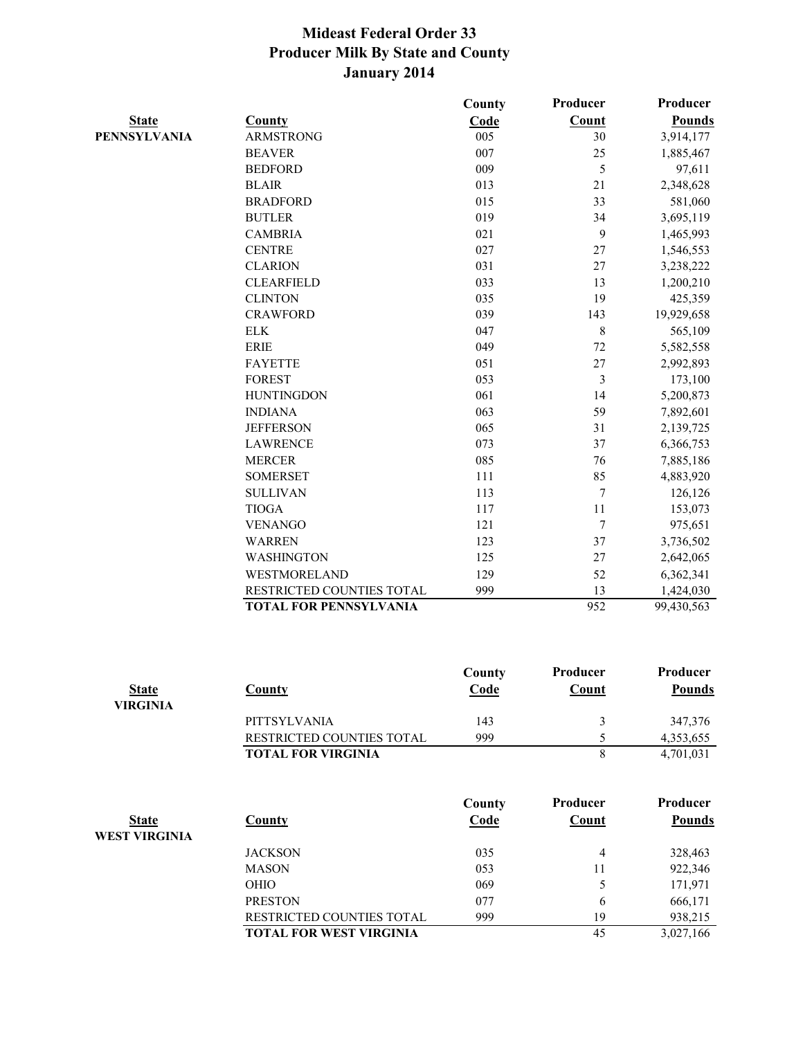|                     |                               | County | Producer | Producer      |
|---------------------|-------------------------------|--------|----------|---------------|
| <b>State</b>        | <b>County</b>                 | Code   | Count    | <b>Pounds</b> |
| <b>PENNSYLVANIA</b> | <b>ARMSTRONG</b>              | 005    | 30       | 3,914,177     |
|                     | <b>BEAVER</b>                 | 007    | 25       | 1,885,467     |
|                     | <b>BEDFORD</b>                | 009    | 5        | 97,611        |
|                     | <b>BLAIR</b>                  | 013    | 21       | 2,348,628     |
|                     | <b>BRADFORD</b>               | 015    | 33       | 581,060       |
|                     | <b>BUTLER</b>                 | 019    | 34       | 3,695,119     |
|                     | <b>CAMBRIA</b>                | 021    | 9        | 1,465,993     |
|                     | <b>CENTRE</b>                 | 027    | 27       | 1,546,553     |
|                     | <b>CLARION</b>                | 031    | 27       | 3,238,222     |
|                     | <b>CLEARFIELD</b>             | 033    | 13       | 1,200,210     |
|                     | <b>CLINTON</b>                | 035    | 19       | 425,359       |
|                     | <b>CRAWFORD</b>               | 039    | 143      | 19,929,658    |
|                     | ${\rm ELK}$                   | 047    | $\,8\,$  | 565,109       |
|                     | <b>ERIE</b>                   | 049    | 72       | 5,582,558     |
|                     | <b>FAYETTE</b>                | 051    | 27       | 2,992,893     |
|                     | <b>FOREST</b>                 | 053    | 3        | 173,100       |
|                     | <b>HUNTINGDON</b>             | 061    | 14       | 5,200,873     |
|                     | <b>INDIANA</b>                | 063    | 59       | 7,892,601     |
|                     | <b>JEFFERSON</b>              | 065    | 31       | 2,139,725     |
|                     | <b>LAWRENCE</b>               | 073    | 37       | 6,366,753     |
|                     | <b>MERCER</b>                 | 085    | 76       | 7,885,186     |
|                     | <b>SOMERSET</b>               | 111    | 85       | 4,883,920     |
|                     | <b>SULLIVAN</b>               | 113    | 7        | 126,126       |
|                     | <b>TIOGA</b>                  | 117    | 11       | 153,073       |
|                     | <b>VENANGO</b>                | 121    | $\tau$   | 975,651       |
|                     | <b>WARREN</b>                 | 123    | 37       | 3,736,502     |
|                     | WASHINGTON                    | 125    | 27       | 2,642,065     |
|                     | WESTMORELAND                  | 129    | 52       | 6,362,341     |
|                     | RESTRICTED COUNTIES TOTAL     | 999    | 13       | 1,424,030     |
|                     | <b>TOTAL FOR PENNSYLVANIA</b> |        | 952      | 99,430,563    |
|                     |                               |        |          |               |

|                 |                                  | County | Producer | Producer  |
|-----------------|----------------------------------|--------|----------|-----------|
| <b>State</b>    | County                           | Code   | Count    | Pounds    |
| <b>VIRGINIA</b> |                                  |        |          |           |
|                 | <b>PITTSYLVANIA</b>              | 143    |          | 347,376   |
|                 | <b>RESTRICTED COUNTIES TOTAL</b> | 999    |          | 4,353,655 |
|                 | <b>TOTAL FOR VIRGINIA</b>        |        |          | 4,701,031 |

| <b>State</b><br><b>WEST VIRGINIA</b> | <b>County</b>                  | County<br>Code | Producer<br><b>Count</b> | Producer<br><b>Pounds</b> |
|--------------------------------------|--------------------------------|----------------|--------------------------|---------------------------|
|                                      | <b>JACKSON</b>                 | 035            | 4                        | 328,463                   |
|                                      | <b>MASON</b>                   | 053            | 11                       | 922,346                   |
|                                      | <b>OHIO</b>                    | 069            |                          | 171,971                   |
|                                      | <b>PRESTON</b>                 | 077            | 6                        | 666,171                   |
|                                      | RESTRICTED COUNTIES TOTAL      | 999            | 19                       | 938,215                   |
|                                      | <b>TOTAL FOR WEST VIRGINIA</b> |                | 45                       | 3,027,166                 |